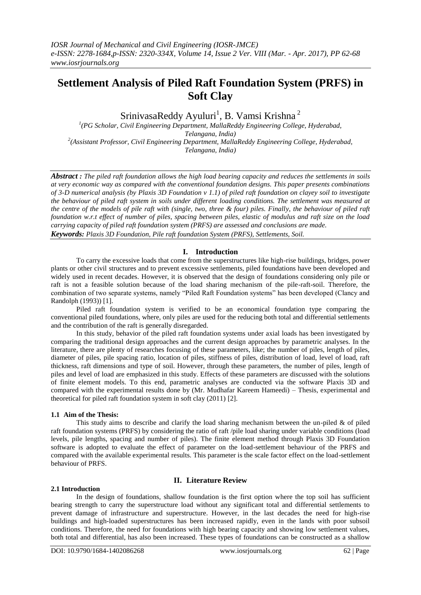# **Settlement Analysis of Piled Raft Foundation System (PRFS) in Soft Clay**

SrinivasaReddy Ayuluri<sup>1</sup>, B. Vamsi Krishna<sup>2</sup>

*1 (PG Scholar, Civil Engineering Department, MallaReddy Engineering College, Hyderabad, Telangana, India) 2 (Assistant Professor, Civil Engineering Department, MallaReddy Engineering College, Hyderabad, Telangana, India)*

*Abstract : The piled raft foundation allows the high load bearing capacity and reduces the settlements in soils at very economic way as compared with the conventional foundation designs. This paper presents combinations of 3-D numerical analysis (by Plaxis 3D Foundation v 1.1) of piled raft foundation on clayey soil to investigate the behaviour of piled raft system in soils under different loading conditions. The settlement was measured at the centre of the models of pile raft with (single, two, three & four) piles. Finally, the behaviour of piled raft foundation w.r.t effect of number of piles, spacing between piles, elastic of modulus and raft size on the load carrying capacity of piled raft foundation system (PRFS) are assessed and conclusions are made.*

*Keywords: Plaxis 3D Foundation, Pile raft foundation System (PRFS), Settlements, Soil.*

## **I. Introduction**

To carry the excessive loads that come from the superstructures like high-rise buildings, bridges, power plants or other civil structures and to prevent excessive settlements, piled foundations have been developed and widely used in recent decades. However, it is observed that the design of foundations considering only pile or raft is not a feasible solution because of the load sharing mechanism of the pile-raft-soil. Therefore, the combination of two separate systems, namely "Piled Raft Foundation systems" has been developed (Clancy and Randolph (1993)) [1].

Piled raft foundation system is verified to be an economical foundation type comparing the conventional piled foundations, where, only piles are used for the reducing both total and differential settlements and the contribution of the raft is generally disregarded.

In this study, behavior of the piled raft foundation systems under axial loads has been investigated by comparing the traditional design approaches and the current design approaches by parametric analyses. In the literature, there are plenty of researches focusing of these parameters, like; the number of piles, length of piles, diameter of piles, pile spacing ratio, location of piles, stiffness of piles, distribution of load, level of load, raft thickness, raft dimensions and type of soil. However, through these parameters, the number of piles, length of piles and level of load are emphasized in this study. Effects of these parameters are discussed with the solutions of finite element models. To this end, parametric analyses are conducted via the software Plaxis 3D and compared with the experimental results done by (Mr. Mudhafar Kareem Hameedi) – Thesis, experimental and theoretical for piled raft foundation system in soft clay (2011) [2].

## **1.1 Aim of the Thesis:**

This study aims to describe and clarify the load sharing mechanism between the un-piled  $\&$  of piled raft foundation systems (PRFS) by considering the ratio of raft /pile load sharing under variable conditions (load levels, pile lengths, spacing and number of piles). The finite element method through Plaxis 3D Foundation software is adopted to evaluate the effect of parameter on the load-settlement behaviour of the PRFS and compared with the available experimental results. This parameter is the scale factor effect on the load-settlement behaviour of PRFS.

### **II. Literature Review**

### **2.1 Introduction**

In the design of foundations, shallow foundation is the first option where the top soil has sufficient bearing strength to carry the superstructure load without any significant total and differential settlements to prevent damage of infrastructure and superstructure. However, in the last decades the need for high-rise buildings and high-loaded superstructures has been increased rapidly, even in the lands with poor subsoil conditions. Therefore, the need for foundations with high bearing capacity and showing low settlement values, both total and differential, has also been increased. These types of foundations can be constructed as a shallow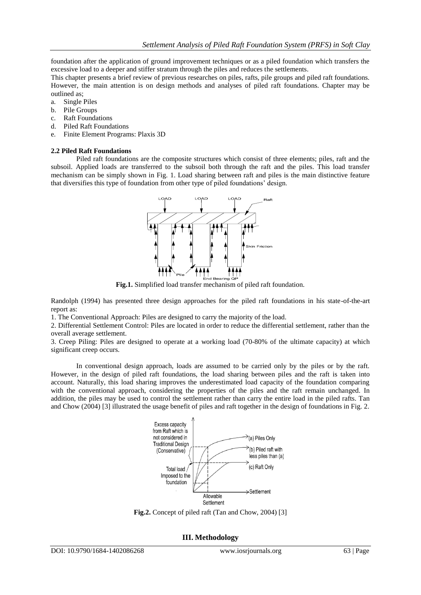foundation after the application of ground improvement techniques or as a piled foundation which transfers the excessive load to a deeper and stiffer stratum through the piles and reduces the settlements.

This chapter presents a brief review of previous researches on piles, rafts, pile groups and piled raft foundations. However, the main attention is on design methods and analyses of piled raft foundations. Chapter may be outlined as;

- a. Single Piles
- b. Pile Groups
- c. Raft Foundations
- d. Piled Raft Foundations
- e. Finite Element Programs: Plaxis 3D

#### **2.2 Piled Raft Foundations**

Piled raft foundations are the composite structures which consist of three elements; piles, raft and the subsoil. Applied loads are transferred to the subsoil both through the raft and the piles. This load transfer mechanism can be simply shown in Fig. 1. Load sharing between raft and piles is the main distinctive feature that diversifies this type of foundation from other type of piled foundations' design.



**Fig.1.** Simplified load transfer mechanism of piled raft foundation.

Randolph (1994) has presented three design approaches for the piled raft foundations in his state-of-the-art report as:

1. The Conventional Approach: Piles are designed to carry the majority of the load.

2. Differential Settlement Control: Piles are located in order to reduce the differential settlement, rather than the overall average settlement.

3. Creep Piling: Piles are designed to operate at a working load (70-80% of the ultimate capacity) at which significant creep occurs.

In conventional design approach, loads are assumed to be carried only by the piles or by the raft. However, in the design of piled raft foundations, the load sharing between piles and the raft is taken into account. Naturally, this load sharing improves the underestimated load capacity of the foundation comparing with the conventional approach, considering the properties of the piles and the raft remain unchanged. In addition, the piles may be used to control the settlement rather than carry the entire load in the piled rafts. Tan and Chow (2004) [3] illustrated the usage benefit of piles and raft together in the design of foundations in Fig. 2.



**Fig.2.** Concept of piled raft (Tan and Chow, 2004) [3]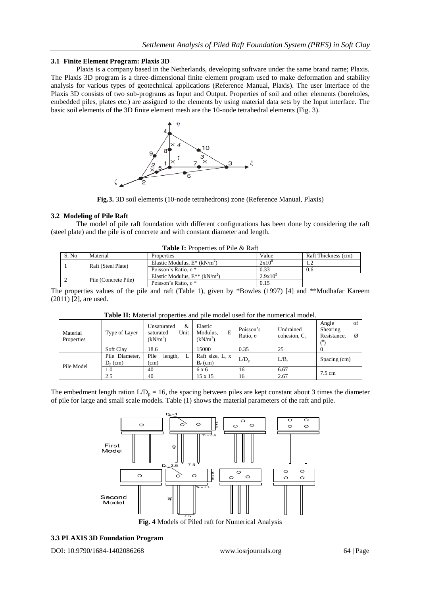### **3.1 Finite Element Program: Plaxis 3D**

Plaxis is a company based in the Netherlands, developing software under the same brand name; Plaxis. The Plaxis 3D program is a three-dimensional finite element program used to make deformation and stability analysis for various types of geotechnical applications (Reference Manual, Plaxis). The user interface of the Plaxis 3D consists of two sub-programs as Input and Output. Properties of soil and other elements (boreholes, embedded piles, plates etc.) are assigned to the elements by using material data sets by the Input interface. The basic soil elements of the 3D finite element mesh are the 10-node tetrahedral elements (Fig. 3).



**Fig.3.** 3D soil elements (10-node tetrahedrons) zone (Reference Manual, Plaxis)

### **3.2 Modeling of Pile Raft**

The model of pile raft foundation with different configurations has been done by considering the raft (steel plate) and the pile is of concrete and with constant diameter and length.

| <b>Table I:</b> Properties of Pile & Raft |                      |                                                |                   |                     |  |  |  |  |  |
|-------------------------------------------|----------------------|------------------------------------------------|-------------------|---------------------|--|--|--|--|--|
| S. No                                     | Material             | <b>Properties</b>                              | Value             | Raft Thickness (cm) |  |  |  |  |  |
|                                           | Raft (Steel Plate)   | Elastic Modulus, $E^*$ (kN/m <sup>2</sup> )    | 2x10 <sup>8</sup> |                     |  |  |  |  |  |
|                                           |                      | Poisson's Ratio. $v^*$                         | 0.33              | 0.6                 |  |  |  |  |  |
|                                           | Pile (Concrete Pile) | Elastic Modulus, $E^{**}$ (kN/m <sup>2</sup> ) | $2.9x10^5$        |                     |  |  |  |  |  |
|                                           |                      | Poisson's Ratio, $v^*$                         | 0.15              |                     |  |  |  |  |  |

The properties values of the pile and raft (Table 1), given by \*Bowles (1997) [4] and \*\*Mudhafar Kareem (2011) [2], are used.

| Material<br>Properties | Type of Layer                | &<br>Unsaturated<br>Unit<br>saturated<br>(kN/m <sup>3</sup> ) | Elastic<br>Modulus,<br>E<br>(kN/m <sup>2</sup> ) | Poisson's<br>Ratio, v | Undrained<br>cohesion, $Cn$ | of<br>Angle<br>Shearing<br>Resistance,<br>Ø |  |
|------------------------|------------------------------|---------------------------------------------------------------|--------------------------------------------------|-----------------------|-----------------------------|---------------------------------------------|--|
|                        | <b>Soft Clay</b>             | 18.6                                                          | 15000                                            | 0.35                  | 25                          |                                             |  |
| Pile Model             | Pile Diameter,<br>$D_n$ (cm) | Pile<br>length,<br>(cm)                                       | Raft size, $L_r$ x<br>$B_r$ (cm)                 | L/D <sub>n</sub>      | $L/B_r$                     | Spacing (cm)                                |  |
|                        | 1.0                          | 40                                                            | 6 x 6                                            | 16                    | 6.67                        | $7.5 \text{ cm}$                            |  |
|                        | 2.5                          | 40                                                            | $15 \times 15$                                   | 16                    | 2.67                        |                                             |  |

**Table II:** Material properties and pile model used for the numerical model.

The embedment length ration  $L/D_p = 16$ , the spacing between piles are kept constant about 3 times the diameter of pile for large and small scale models. Table (1) shows the material parameters of the raft and pile.



**Fig. 4** Models of Piled raft for Numerical Analysis

### **3.3 PLAXIS 3D Foundation Program**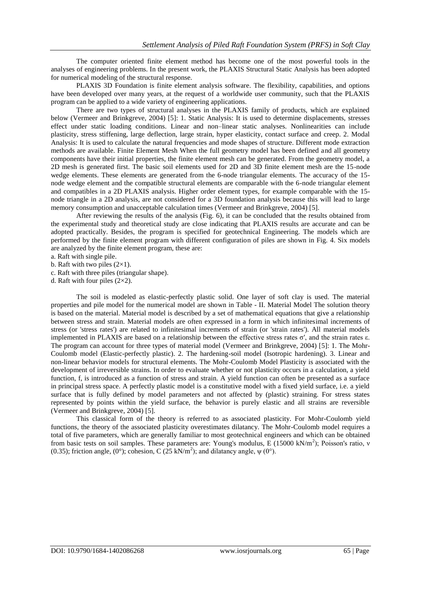The computer oriented finite element method has become one of the most powerful tools in the analyses of engineering problems. In the present work, the PLAXIS Structural Static Analysis has been adopted for numerical modeling of the structural response.

PLAXIS 3D Foundation is finite element analysis software. The flexibility, capabilities, and options have been developed over many years, at the request of a worldwide user community, such that the PLAXIS program can be applied to a wide variety of engineering applications.

There are two types of structural analyses in the PLAXIS family of products, which are explained below (Vermeer and Brinkgreve, 2004) [5]: 1. Static Analysis: It is used to determine displacements, stresses effect under static loading conditions. Linear and non–linear static analyses. Nonlinearities can include plasticity, stress stiffening, large deflection, large strain, hyper elasticity, contact surface and creep. 2. Modal Analysis: It is used to calculate the natural frequencies and mode shapes of structure. Different mode extraction methods are available. Finite Element Mesh When the full geometry model has been defined and all geometry components have their initial properties, the finite element mesh can be generated. From the geometry model, a 2D mesh is generated first. The basic soil elements used for 2D and 3D finite element mesh are the 15-node wedge elements. These elements are generated from the 6-node triangular elements. The accuracy of the 15 node wedge element and the compatible structural elements are comparable with the 6-node triangular element and compatibles in a 2D PLAXIS analysis. Higher order element types, for example comparable with the 15 node triangle in a 2D analysis, are not considered for a 3D foundation analysis because this will lead to large memory consumption and unacceptable calculation times (Vermeer and Brinkgreve, 2004) [5].

After reviewing the results of the analysis (Fig. 6), it can be concluded that the results obtained from the experimental study and theoretical study are close indicating that PLAXIS results are accurate and can be adopted practically. Besides, the program is specified for geotechnical Engineering. The models which are performed by the finite element program with different configuration of piles are shown in Fig. 4. Six models are analyzed by the finite element program, these are:

a. Raft with single pile.

b. Raft with two piles  $(2\times1)$ .

c. Raft with three piles (triangular shape).

d. Raft with four piles  $(2\times2)$ .

The soil is modeled as elastic-perfectly plastic solid. One layer of soft clay is used. The material properties and pile model for the numerical model are shown in Table - II. Material Model The solution theory is based on the material. Material model is described by a set of mathematical equations that give a relationship between stress and strain. Material models are often expressed in a form in which infinitesimal increments of stress (or 'stress rates') are related to infinitesimal increments of strain (or 'strain rates'). All material models implemented in PLAXIS are based on a relationship between the effective stress rates σ′, and the strain rates ε. The program can account for three types of material model (Vermeer and Brinkgreve, 2004) [5]: 1. The Mohr-Coulomb model (Elastic-perfectly plastic). 2. The hardening-soil model (Isotropic hardening). 3. Linear and non-linear behavior models for structural elements. The Mohr-Coulomb Model Plasticity is associated with the development of irreversible strains. In order to evaluate whether or not plasticity occurs in a calculation, a yield function, f, is introduced as a function of stress and strain. A yield function can often be presented as a surface in principal stress space. A perfectly plastic model is a constitutive model with a fixed yield surface, i.e. a yield surface that is fully defined by model parameters and not affected by (plastic) straining. For stress states represented by points within the yield surface, the behavior is purely elastic and all strains are reversible (Vermeer and Brinkgreve, 2004) [5].

This classical form of the theory is referred to as associated plasticity. For Mohr-Coulomb yield functions, the theory of the associated plasticity overestimates dilatancy. The Mohr-Coulomb model requires a total of five parameters, which are generally familiar to most geotechnical engineers and which can be obtained from basic tests on soil samples. These parameters are: Young's modulus, E (15000 kN/m<sup>2</sup>); Poisson's ratio, ν (0.35); friction angle, (0°); cohesion, C (25 kN/m<sup>2</sup>); and dilatancy angle,  $\psi$  (0°).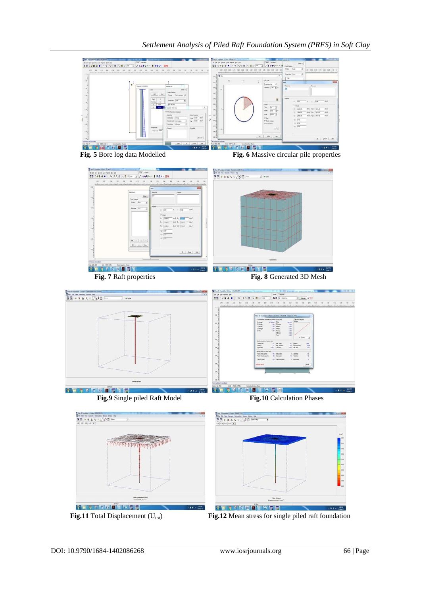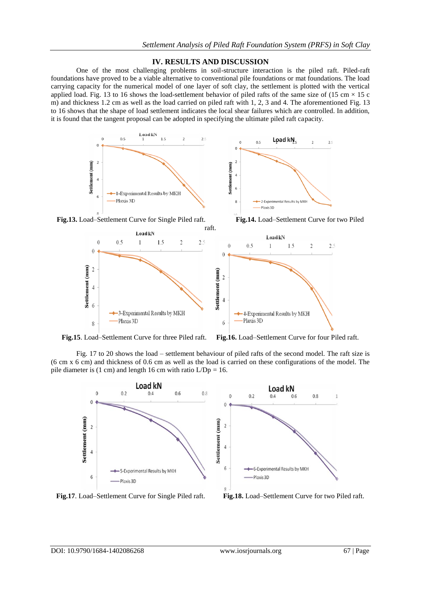# **IV. RESULTS AND DISCUSSION**

One of the most challenging problems in soil-structure interaction is the piled raft. Piled-raft foundations have proved to be a viable alternative to conventional pile foundations or mat foundations. The load carrying capacity for the numerical model of one layer of soft clay, the settlement is plotted with the vertical applied load. Fig. 13 to 16 shows the load-settlement behavior of piled rafts of the same size of (15 cm  $\times$  15 c m) and thickness 1.2 cm as well as the load carried on piled raft with 1, 2, 3 and 4. The aforementioned Fig. 13 to 16 shows that the shape of load settlement indicates the local shear failures which are controlled. In addition, it is found that the tangent proposal can be adopted in specifying the ultimate piled raft capacity.



**Fig.15**. Load–Settlement Curve for three Piled raft. **Fig.16.** Load–Settlement Curve for four Piled raft.

Fig. 17 to 20 shows the load – settlement behaviour of piled rafts of the second model. The raft size is (6 cm x 6 cm) and thickness of 0.6 cm as well as the load is carried on these configurations of the model. The pile diameter is  $(1 \text{ cm})$  and length 16 cm with ratio  $L/Dp = 16$ .



**Fig.17**. Load–Settlement Curve for Single Piled raft. **Fig.18.** Load–Settlement Curve for two Piled raft.